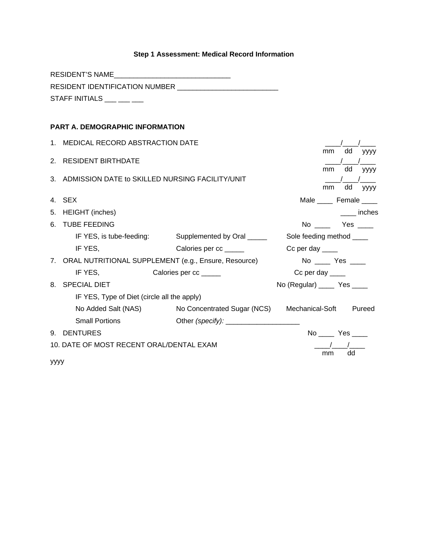# **Step 1 Assessment: Medical Record Information**

|    | <b>RESIDENT'S NAME</b>                              |                                                         |                               |    |    |             |
|----|-----------------------------------------------------|---------------------------------------------------------|-------------------------------|----|----|-------------|
|    |                                                     |                                                         |                               |    |    |             |
|    | STAFF INITIALS $\_\_\_\_\_\_\_\_\_\_\_\_\_\_\_\_\_$ |                                                         |                               |    |    |             |
|    |                                                     |                                                         |                               |    |    |             |
|    | PART A. DEMOGRAPHIC INFORMATION                     |                                                         |                               |    |    |             |
|    | 1. MEDICAL RECORD ABSTRACTION DATE                  |                                                         |                               |    |    |             |
|    |                                                     |                                                         |                               | mm | dd | <b>VYYY</b> |
|    | 2. RESIDENT BIRTHDATE                               |                                                         |                               | mm | dd | уууу        |
|    | 3. ADMISSION DATE to SKILLED NURSING FACILITY/UNIT  |                                                         |                               |    |    |             |
|    |                                                     |                                                         |                               | mm | dd | уууу        |
|    | 4. SEX                                              |                                                         | Male _____ Female ____        |    |    |             |
|    | 5. HEIGHT (inches)                                  |                                                         |                               |    |    | inches      |
|    | 6. TUBE FEEDING                                     |                                                         | No Yes                        |    |    |             |
|    | IF YES, is tube-feeding:                            | Supplemented by Oral _____                              | Sole feeding method ____      |    |    |             |
|    | IF YES,                                             | Calories per cc _____                                   | $Cc$ per day $\_\_\_\_\_\$    |    |    |             |
|    |                                                     | 7. ORAL NUTRITIONAL SUPPLEMENT (e.g., Ensure, Resource) | No _____ Yes _____            |    |    |             |
|    | IF YES,<br>Calories per cc _____                    |                                                         | $Cc$ per day $\_\_\_\_\_\_\$  |    |    |             |
|    | 8. SPECIAL DIET                                     |                                                         | No (Regular) ______ Yes _____ |    |    |             |
|    | IF YES, Type of Diet (circle all the apply)         |                                                         |                               |    |    |             |
|    |                                                     | No Added Salt (NAS) No Concentrated Sugar (NCS)         | Mechanical-Soft               |    |    | Pureed      |
|    | <b>Small Portions</b>                               |                                                         |                               |    |    |             |
| 9. | <b>DENTURES</b>                                     |                                                         | No Yes                        |    |    |             |
|    | 10. DATE OF MOST RECENT ORAL/DENTAL EXAM            |                                                         |                               |    |    |             |
|    |                                                     |                                                         |                               | mm | dd |             |

yyyy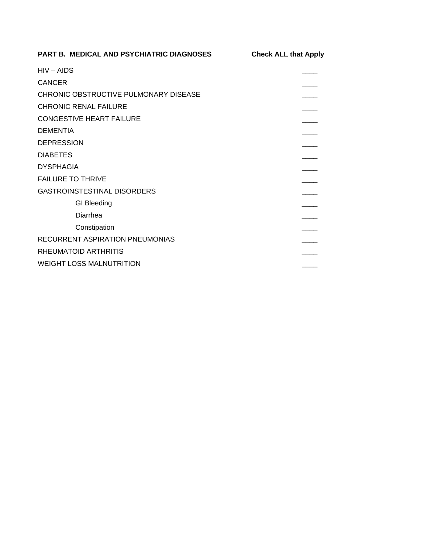| PART B. MEDICAL AND PSYCHIATRIC DIAGNOSES | <b>Check ALL that Apply</b> |  |  |
|-------------------------------------------|-----------------------------|--|--|
| $HIV - AIDS$                              |                             |  |  |
| <b>CANCER</b>                             |                             |  |  |
| CHRONIC OBSTRUCTIVE PULMONARY DISEASE     |                             |  |  |
| CHRONIC RENAL FAILURE                     |                             |  |  |
| <b>CONGESTIVE HEART FAILURE</b>           |                             |  |  |
| <b>DEMENTIA</b>                           |                             |  |  |
| <b>DEPRESSION</b>                         |                             |  |  |
| <b>DIABETES</b>                           |                             |  |  |
| <b>DYSPHAGIA</b>                          |                             |  |  |
| <b>FAILURE TO THRIVE</b>                  |                             |  |  |
| <b>GASTROINSTESTINAL DISORDERS</b>        |                             |  |  |
| <b>GI</b> Bleeding                        |                             |  |  |
| Diarrhea                                  |                             |  |  |
| Constipation                              |                             |  |  |
| <b>RECURRENT ASPIRATION PNEUMONIAS</b>    |                             |  |  |
| RHEUMATOID ARTHRITIS                      |                             |  |  |
| <b>WEIGHT LOSS MALNUTRITION</b>           |                             |  |  |
|                                           |                             |  |  |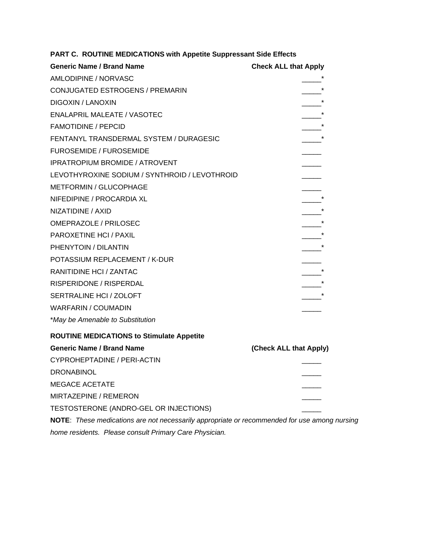| <b>Generic Name / Brand Name</b>                                                             | <b>Check ALL that Apply</b> |
|----------------------------------------------------------------------------------------------|-----------------------------|
| AMLODIPINE / NORVASC                                                                         |                             |
| CONJUGATED ESTROGENS / PREMARIN                                                              | $\star$                     |
| <b>DIGOXIN / LANOXIN</b>                                                                     |                             |
| <b>ENALAPRIL MALEATE / VASOTEC</b>                                                           | $\overline{\phantom{a}}$    |
| <b>FAMOTIDINE / PEPCID</b>                                                                   | $\overline{\phantom{a}}$    |
| FENTANYL TRANSDERMAL SYSTEM / DURAGESIC                                                      |                             |
| <b>FUROSEMIDE / FUROSEMIDE</b>                                                               |                             |
| <b>IPRATROPIUM BROMIDE / ATROVENT</b>                                                        |                             |
| LEVOTHYROXINE SODIUM / SYNTHROID / LEVOTHROID                                                |                             |
| <b>METFORMIN / GLUCOPHAGE</b>                                                                |                             |
| NIFEDIPINE / PROCARDIA XL                                                                    |                             |
| NIZATIDINE / AXID                                                                            |                             |
| <b>OMEPRAZOLE / PRILOSEC</b>                                                                 |                             |
| <b>PAROXETINE HCI / PAXIL</b>                                                                |                             |
| PHENYTOIN / DILANTIN                                                                         |                             |
| POTASSIUM REPLACEMENT / K-DUR                                                                |                             |
| RANITIDINE HCI / ZANTAC                                                                      |                             |
| RISPERIDONE / RISPERDAL                                                                      | $\star$                     |
| SERTRALINE HCI / ZOLOFT                                                                      |                             |
| <b>WARFARIN / COUMADIN</b>                                                                   |                             |
| *May be Amenable to Substitution                                                             |                             |
| <b>ROUTINE MEDICATIONS to Stimulate Appetite</b>                                             |                             |
| <b>Generic Name / Brand Name</b>                                                             | (Check ALL that Apply)      |
| CYPROHEPTADINE / PERI-ACTIN                                                                  |                             |
| <b>DRONABINOL</b>                                                                            |                             |
| <b>MEGACE ACETATE</b>                                                                        |                             |
| MIRTAZEPINE / REMERON                                                                        |                             |
| TESTOSTERONE (ANDRO-GEL OR INJECTIONS)                                                       |                             |
| NOTE: These medications are not necessarily appropriate or recommended for use among nursing |                             |
| home residents. Please consult Primary Care Physician.                                       |                             |

**PART C. ROUTINE MEDICATIONS with Appetite Suppressant Side Effects**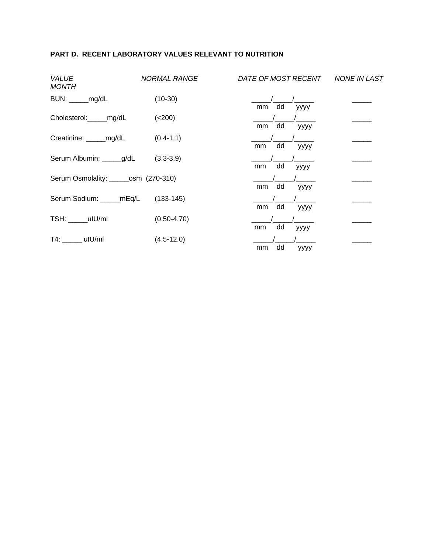#### **PART D. RECENT LABORATORY VALUES RELEVANT TO NUTRITION**

| VALUE<br>MONTH                       | <b>NORMAL RANGE</b> | DATE OF MOST RECENT | NONE IN LAST |
|--------------------------------------|---------------------|---------------------|--------------|
| BUN: _____mg/dL                      | $(10-30)$           | dd<br>mm<br>уууу    |              |
| Cholesterol:_____mg/dL               | (<200)              | dd<br>mm<br>уууу    |              |
| Creatinine: ______mg/dL              | $(0.4 - 1.1)$       | dd<br>mm<br>уууу    |              |
| Serum Albumin: _____g/dL             | $(3.3 - 3.9)$       | dd<br>mm<br>уууу    |              |
| Serum Osmolality: _____osm (270-310) |                     | dd<br>mm<br>уууу    |              |
| Serum Sodium: _____mEq/L             | $(133-145)$         | dd<br>mm<br>уууу    |              |
| TSH: uIU/ml                          | $(0.50 - 4.70)$     | dd<br>mm<br>уууу    |              |
| T4: uIU/ml                           | $(4.5 - 12.0)$      | dd<br>mm<br>уууу    |              |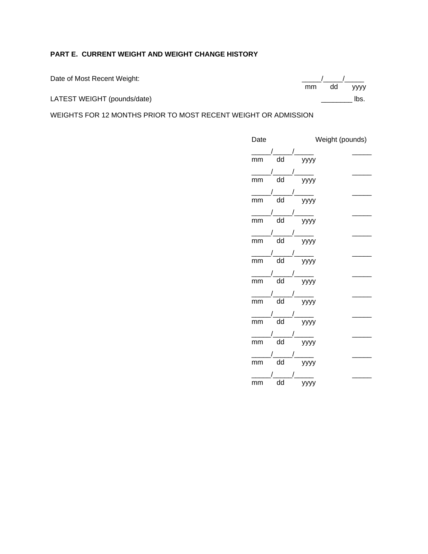#### **PART E. CURRENT WEIGHT AND WEIGHT CHANGE HISTORY**

Date of Most Recent Weight:

LATEST WEIGHT (pounds/date) and the contract of the contract of the contract of the contract of the contract of the contract of the contract of the contract of the contract of the contract of the contract of the contract o

WEIGHTS FOR 12 MONTHS PRIOR TO MOST RECENT WEIGHT OR ADMISSION

| Date                  |                          | Weight (pounds)      |  |  |
|-----------------------|--------------------------|----------------------|--|--|
|                       |                          |                      |  |  |
| mm                    | $\overline{dd}$          | yyyy                 |  |  |
|                       |                          |                      |  |  |
| $\frac{1}{\text{mm}}$ | $\overline{dd}$          | ——<br>уууу           |  |  |
|                       |                          |                      |  |  |
| $\frac{1}{\text{mm}}$ | $\overline{dd}$          | $\frac{1}{\sqrt{2}}$ |  |  |
|                       |                          |                      |  |  |
| $\frac{1}{\text{mm}}$ | $\overline{\mathsf{dd}}$ | $\frac{1}{\sqrt{2}}$ |  |  |
|                       |                          |                      |  |  |
| $\frac{1}{\text{mm}}$ | $\overline{\mathsf{dd}}$ | ——<br>уууу           |  |  |
|                       |                          |                      |  |  |
| $\frac{1}{\text{mm}}$ | $\overline{dd}$          | ——<br>уууу           |  |  |
|                       |                          |                      |  |  |
| $\frac{1}{\text{mm}}$ | $\overline{d}$           | ——<br>уууу           |  |  |
|                       |                          |                      |  |  |
| $\frac{1}{\text{mm}}$ | $\overline{\mathsf{dd}}$ | ——<br>уууу           |  |  |
|                       |                          |                      |  |  |
| $\frac{1}{\text{mm}}$ | $\overline{\mathsf{dd}}$ | уууу                 |  |  |
|                       |                          |                      |  |  |
| $\frac{1}{\text{mm}}$ | dd                       | ——<br>уууу           |  |  |
|                       |                          |                      |  |  |
| mm                    | dd                       | yyyy                 |  |  |
|                       |                          |                      |  |  |
| mm                    | dd                       |                      |  |  |

 $\frac{1}{\sqrt{mn}}$  dd yyyy